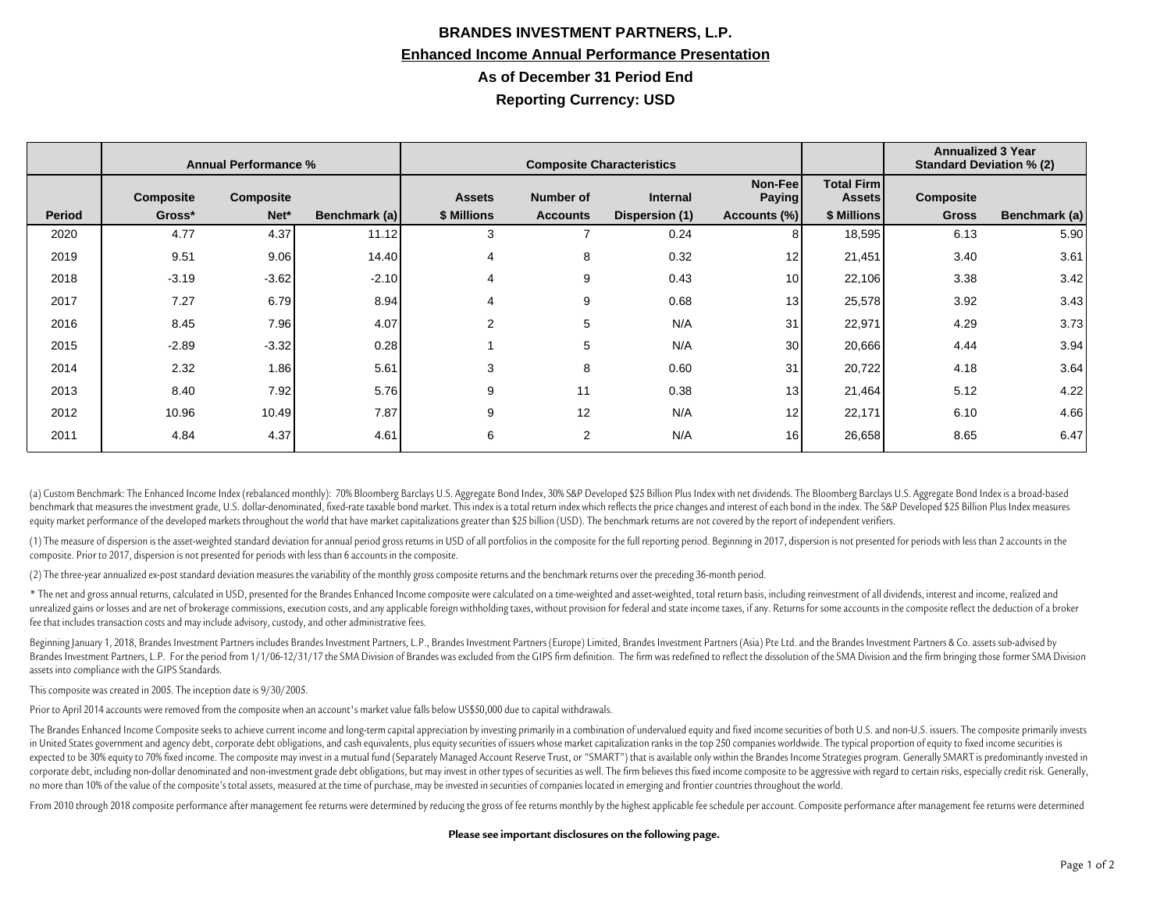## **BRANDES INVESTMENT PARTNERS, L.P. Enhanced Income Annual Performance Presentation As of December 31 Period End Reporting Currency: USD**

|               | <b>Annual Performance %</b> |           |               | <b>Composite Characteristics</b> |                 |                       |                          |                                    | <b>Annualized 3 Year</b><br><b>Standard Deviation % (2)</b> |               |
|---------------|-----------------------------|-----------|---------------|----------------------------------|-----------------|-----------------------|--------------------------|------------------------------------|-------------------------------------------------------------|---------------|
|               | <b>Composite</b>            | Composite |               | <b>Assets</b>                    | Number of       | <b>Internal</b>       | Non-Fee<br><b>Paying</b> | <b>Total Firm</b><br><b>Assets</b> | Composite                                                   |               |
| <b>Period</b> | Gross*                      | Net*      | Benchmark (a) | \$ Millions                      | <b>Accounts</b> | <b>Dispersion (1)</b> | Accounts (%)             | \$ Millions                        | <b>Gross</b>                                                | Benchmark (a) |
| 2020          | 4.77                        | 4.37      | 11.12         | 3                                |                 | 0.24                  | 8                        | 18,595                             | 6.13                                                        | 5.90          |
| 2019          | 9.51                        | 9.06      | 14.40         | 4                                | 8               | 0.32                  | 12 <sub>1</sub>          | 21,451                             | 3.40                                                        | 3.61          |
| 2018          | $-3.19$                     | $-3.62$   | $-2.10$       | 4                                | 9               | 0.43                  | 10                       | 22,106                             | 3.38                                                        | 3.42          |
| 2017          | 7.27                        | 6.79      | 8.94          | 4                                | 9               | 0.68                  | 13                       | 25,578                             | 3.92                                                        | 3.43          |
| 2016          | 8.45                        | 7.96      | 4.07          | $\overline{2}$                   | 5               | N/A                   | 31                       | 22,971                             | 4.29                                                        | 3.73          |
| 2015          | $-2.89$                     | $-3.32$   | 0.28          |                                  | 5               | N/A                   | 30                       | 20,666                             | 4.44                                                        | 3.94          |
| 2014          | 2.32                        | 1.86      | 5.61          | 3                                | 8               | 0.60                  | 31                       | 20,722                             | 4.18                                                        | 3.64          |
| 2013          | 8.40                        | 7.92      | 5.76          | 9                                | 11              | 0.38                  | 13                       | 21,464                             | 5.12                                                        | 4.22          |
| 2012          | 10.96                       | 10.49     | 7.87          | 9                                | 12              | N/A                   | 12                       | 22,171                             | 6.10                                                        | 4.66          |
| 2011          | 4.84                        | 4.37      | 4.61          | 6                                | 2               | N/A                   | 16                       | 26,658                             | 8.65                                                        | 6.47          |

(a) Custom Benchmark: The Enhanced Income Index (rebalanced monthly): 70% Bloomberg Barclays U.S. Aggregate Bond Index, 30% S&P Developed \$25 Billion Plus Index with net dividends. The Bloomberg Barclays U.S. Aggregate Bon benchmark that measures the investment grade, U.S. dollar-denominated, fixed-rate taxable bond market. This index is a total return index which reflects the price changes and interest of each bond in the index. The S&P Dev equity market performance of the developed markets throughout the world that have market capitalizations greater than \$25 billion (USD). The benchmark returns are not covered by the report of independent verifiers

(1) The measure of dispersion is the asset-weighted standard deviation for annual period gross returns in USD of all portfolios in the composite for the full reporting period. Beginning in 2017, dispersion is not presented composite. Prior to 2017, dispersion is not presented for periods with less than 6 accounts in the composite.

(2) The three-year annualized ex-post standard deviation measures the variability of the monthly gross composite returns and the benchmark returns over the preceding 36-month period.

\* The net and gross annual returns, calculated in USD, presented for the Brandes Enhanced Income composite were calculated on a time-weighted and asset-weighted, total return basis, including reinvestment of all dividends, unrealized gains or losses and are net of brokerage commissions, execution costs, and any applicable foreign withholding taxes, without provision for federal and state income taxes, if any. Returns for some accounts in the fee that includes transaction costs and may include advisory, custody, and other administrative fees.

Beginning January 1, 2018, Brandes Investment Partners includes Brandes Investment Partners, L.P., Brandes Investment Partners (Europe) Limited, Brandes Investment Partners (Asia) Pte Ltd. and the Brandes Investment Partne Brandes Investment Partners, L.P. For the period from 1/1/06-12/31/17 the SMA Division of Brandes was excluded from the GIPS firm definition. The firm was redefined to reflect the dissolution of the SMA Division and the fi assets into compliance with the GIPS Standards.

This composite was created in 2005. The inception date is 9/30/2005.

Prior to April 2014 accounts were removed from the composite when an account's market value falls below US\$50,000 due to capital withdrawals.

The Brandes Enhanced Income Composite seeks to achieve current income and long-term capital appreciation by investing primarily in a combination of undervalued equity and fixed income securities of both U.S. and non-U.S. i in United States government and agency debt, corporate debt obligations, and cash equivalents, plus equity securities of issuers whose market capitalization ranks in the top 250 companies worldwide. The typical proportion expected to be 30% equity to 70% fixed income. The composite may invest in a mutual fund (Separately Managed Account Reserve Trust, or "SMART") that is available only within the Brandes Income Strategies program. Generally corporate debt, including non-dollar denominated and non-investment grade debt obligations, but may invest in other types of securities as well. The firm believes this fixed income composite to be aggressive with regard to no more than 10% of the value of the composite's total assets, measured at the time of purchase, may be invested in securities of companies located in emerging and frontier countries throughout the world.

From 2010 through 2018 composite performance after management fee returns were determined by reducing the gross of fee returns monthly by the highest applicable fee schedule per account. Composite performance after managem

## **Please see important disclosures on the following page.**